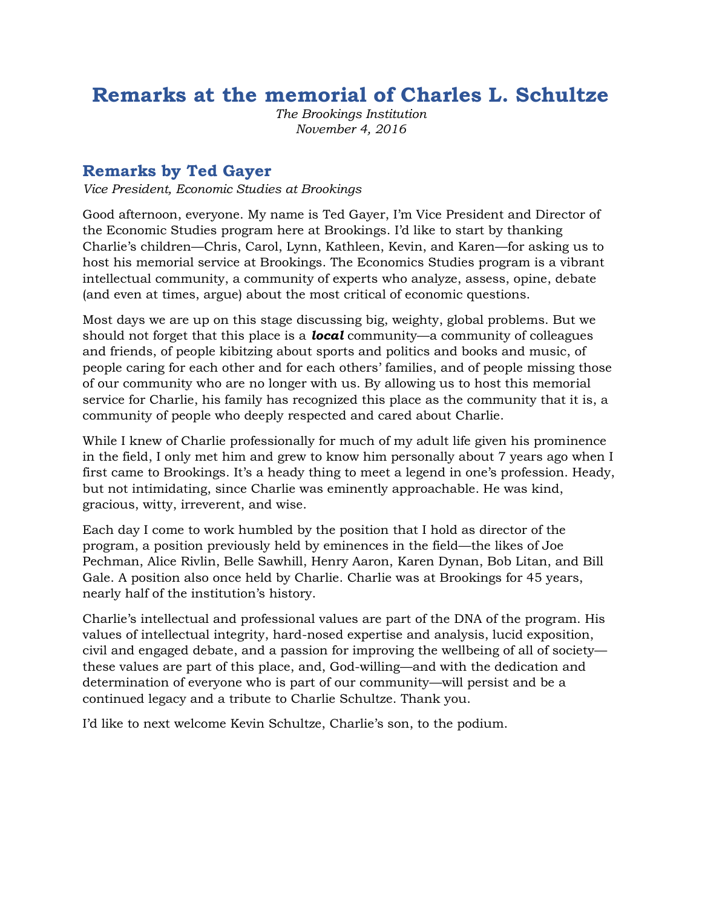# **Remarks at the memorial of Charles L. Schultze**

*The Brookings Institution November 4, 2016*

#### **Remarks by Ted Gayer**

*Vice President, Economic Studies at Brookings*

Good afternoon, everyone. My name is Ted Gayer, I'm Vice President and Director of the Economic Studies program here at Brookings. I'd like to start by thanking Charlie's children—Chris, Carol, Lynn, Kathleen, Kevin, and Karen—for asking us to host his memorial service at Brookings. The Economics Studies program is a vibrant intellectual community, a community of experts who analyze, assess, opine, debate (and even at times, argue) about the most critical of economic questions.

Most days we are up on this stage discussing big, weighty, global problems. But we should not forget that this place is a *local* community—a community of colleagues and friends, of people kibitzing about sports and politics and books and music, of people caring for each other and for each others' families, and of people missing those of our community who are no longer with us. By allowing us to host this memorial service for Charlie, his family has recognized this place as the community that it is, a community of people who deeply respected and cared about Charlie.

While I knew of Charlie professionally for much of my adult life given his prominence in the field, I only met him and grew to know him personally about 7 years ago when I first came to Brookings. It's a heady thing to meet a legend in one's profession. Heady, but not intimidating, since Charlie was eminently approachable. He was kind, gracious, witty, irreverent, and wise.

Each day I come to work humbled by the position that I hold as director of the program, a position previously held by eminences in the field—the likes of Joe Pechman, Alice Rivlin, Belle Sawhill, Henry Aaron, Karen Dynan, Bob Litan, and Bill Gale. A position also once held by Charlie. Charlie was at Brookings for 45 years, nearly half of the institution's history.

Charlie's intellectual and professional values are part of the DNA of the program. His values of intellectual integrity, hard-nosed expertise and analysis, lucid exposition, civil and engaged debate, and a passion for improving the wellbeing of all of society these values are part of this place, and, God-willing—and with the dedication and determination of everyone who is part of our community—will persist and be a continued legacy and a tribute to Charlie Schultze. Thank you.

I'd like to next welcome Kevin Schultze, Charlie's son, to the podium.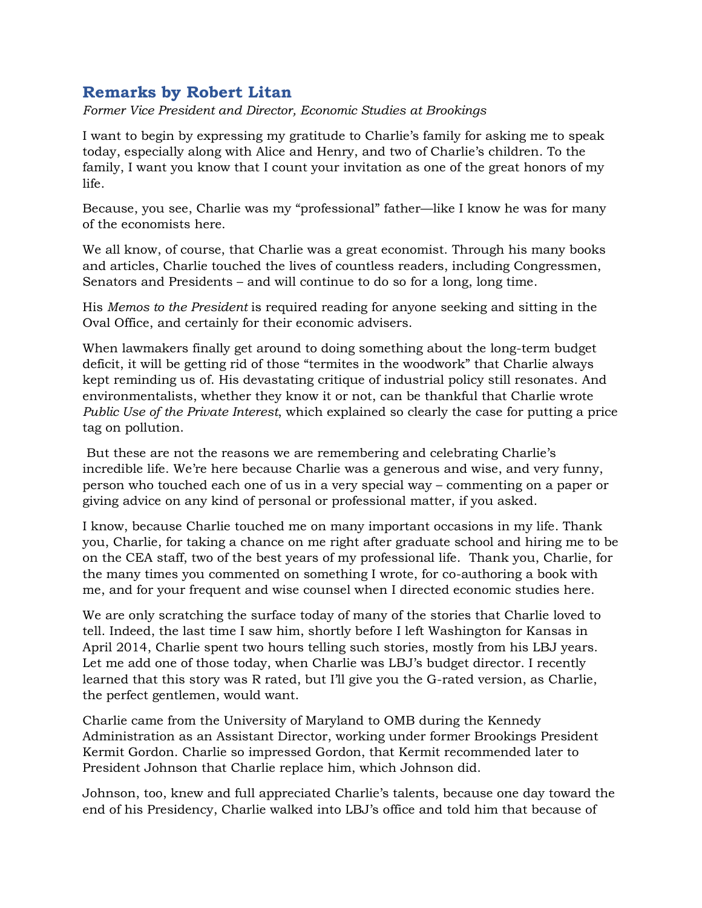### **Remarks by Robert Litan**

*Former Vice President and Director, Economic Studies at Brookings*

I want to begin by expressing my gratitude to Charlie's family for asking me to speak today, especially along with Alice and Henry, and two of Charlie's children. To the family, I want you know that I count your invitation as one of the great honors of my life.

Because, you see, Charlie was my "professional" father—like I know he was for many of the economists here.

We all know, of course, that Charlie was a great economist. Through his many books and articles, Charlie touched the lives of countless readers, including Congressmen, Senators and Presidents – and will continue to do so for a long, long time.

His *Memos to the President* is required reading for anyone seeking and sitting in the Oval Office, and certainly for their economic advisers.

When lawmakers finally get around to doing something about the long-term budget deficit, it will be getting rid of those "termites in the woodwork" that Charlie always kept reminding us of. His devastating critique of industrial policy still resonates. And environmentalists, whether they know it or not, can be thankful that Charlie wrote *Public Use of the Private Interest*, which explained so clearly the case for putting a price tag on pollution.

But these are not the reasons we are remembering and celebrating Charlie's incredible life. We're here because Charlie was a generous and wise, and very funny, person who touched each one of us in a very special way – commenting on a paper or giving advice on any kind of personal or professional matter, if you asked.

I know, because Charlie touched me on many important occasions in my life. Thank you, Charlie, for taking a chance on me right after graduate school and hiring me to be on the CEA staff, two of the best years of my professional life. Thank you, Charlie, for the many times you commented on something I wrote, for co-authoring a book with me, and for your frequent and wise counsel when I directed economic studies here.

We are only scratching the surface today of many of the stories that Charlie loved to tell. Indeed, the last time I saw him, shortly before I left Washington for Kansas in April 2014, Charlie spent two hours telling such stories, mostly from his LBJ years. Let me add one of those today, when Charlie was LBJ's budget director. I recently learned that this story was R rated, but I'll give you the G-rated version, as Charlie, the perfect gentlemen, would want.

Charlie came from the University of Maryland to OMB during the Kennedy Administration as an Assistant Director, working under former Brookings President Kermit Gordon. Charlie so impressed Gordon, that Kermit recommended later to President Johnson that Charlie replace him, which Johnson did.

Johnson, too, knew and full appreciated Charlie's talents, because one day toward the end of his Presidency, Charlie walked into LBJ's office and told him that because of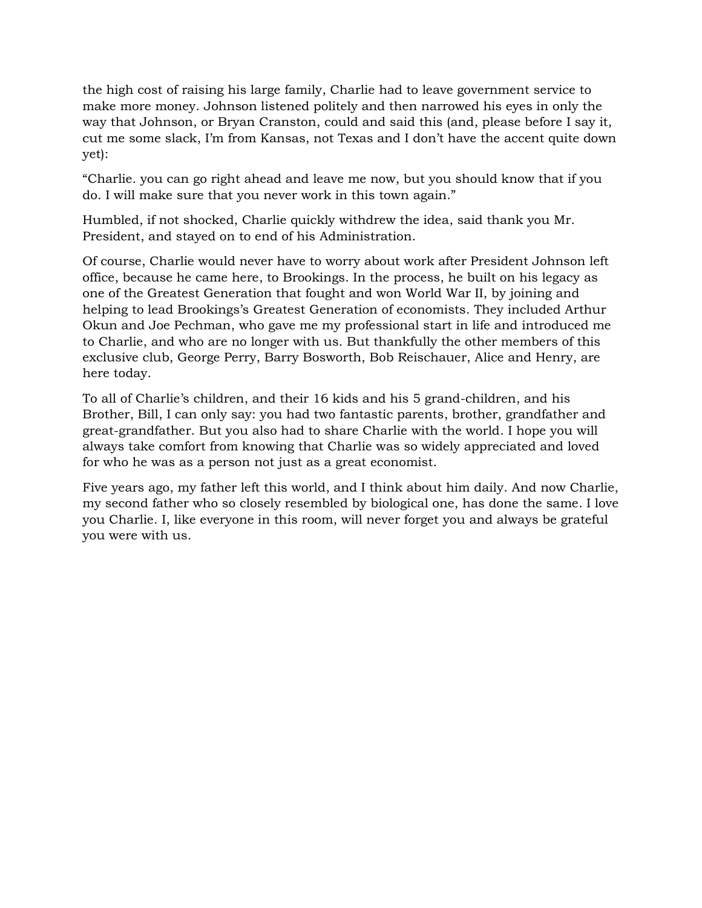the high cost of raising his large family, Charlie had to leave government service to make more money. Johnson listened politely and then narrowed his eyes in only the way that Johnson, or Bryan Cranston, could and said this (and, please before I say it, cut me some slack, I'm from Kansas, not Texas and I don't have the accent quite down yet):

"Charlie. you can go right ahead and leave me now, but you should know that if you do. I will make sure that you never work in this town again."

Humbled, if not shocked, Charlie quickly withdrew the idea, said thank you Mr. President, and stayed on to end of his Administration.

Of course, Charlie would never have to worry about work after President Johnson left office, because he came here, to Brookings. In the process, he built on his legacy as one of the Greatest Generation that fought and won World War II, by joining and helping to lead Brookings's Greatest Generation of economists. They included Arthur Okun and Joe Pechman, who gave me my professional start in life and introduced me to Charlie, and who are no longer with us. But thankfully the other members of this exclusive club, George Perry, Barry Bosworth, Bob Reischauer, Alice and Henry, are here today.

To all of Charlie's children, and their 16 kids and his 5 grand-children, and his Brother, Bill, I can only say: you had two fantastic parents, brother, grandfather and great-grandfather. But you also had to share Charlie with the world. I hope you will always take comfort from knowing that Charlie was so widely appreciated and loved for who he was as a person not just as a great economist.

Five years ago, my father left this world, and I think about him daily. And now Charlie, my second father who so closely resembled by biological one, has done the same. I love you Charlie. I, like everyone in this room, will never forget you and always be grateful you were with us.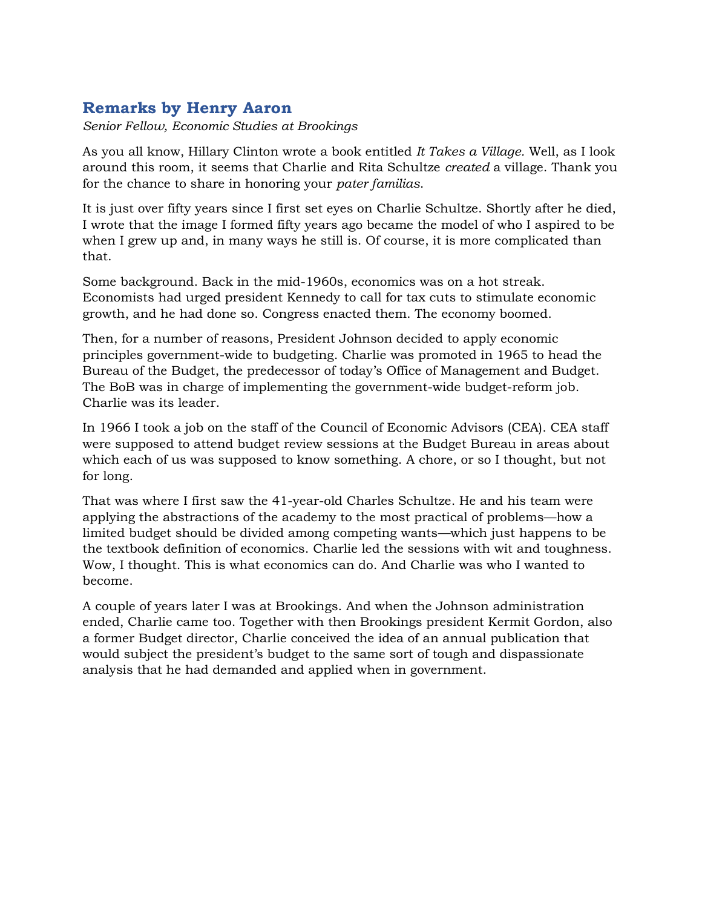## **Remarks by Henry Aaron**

*Senior Fellow, Economic Studies at Brookings*

As you all know, Hillary Clinton wrote a book entitled *It Takes a Village.* Well, as I look around this room, it seems that Charlie and Rita Schultze *created* a village. Thank you for the chance to share in honoring your *pater familias*.

It is just over fifty years since I first set eyes on Charlie Schultze. Shortly after he died, I wrote that the image I formed fifty years ago became the model of who I aspired to be when I grew up and, in many ways he still is. Of course, it is more complicated than that.

Some background. Back in the mid-1960s, economics was on a hot streak. Economists had urged president Kennedy to call for tax cuts to stimulate economic growth, and he had done so. Congress enacted them. The economy boomed.

Then, for a number of reasons, President Johnson decided to apply economic principles government-wide to budgeting. Charlie was promoted in 1965 to head the Bureau of the Budget, the predecessor of today's Office of Management and Budget. The BoB was in charge of implementing the government-wide budget-reform job. Charlie was its leader.

In 1966 I took a job on the staff of the Council of Economic Advisors (CEA). CEA staff were supposed to attend budget review sessions at the Budget Bureau in areas about which each of us was supposed to know something. A chore, or so I thought, but not for long.

That was where I first saw the 41-year-old Charles Schultze. He and his team were applying the abstractions of the academy to the most practical of problems—how a limited budget should be divided among competing wants—which just happens to be the textbook definition of economics. Charlie led the sessions with wit and toughness. Wow, I thought. This is what economics can do. And Charlie was who I wanted to become.

A couple of years later I was at Brookings. And when the Johnson administration ended, Charlie came too. Together with then Brookings president Kermit Gordon, also a former Budget director, Charlie conceived the idea of an annual publication that would subject the president's budget to the same sort of tough and dispassionate analysis that he had demanded and applied when in government.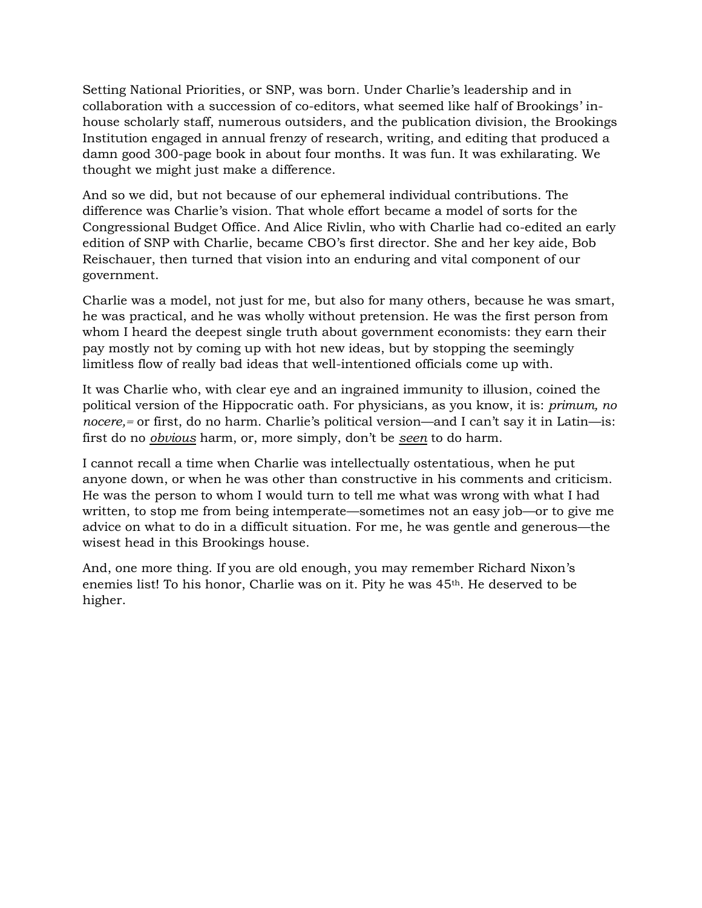Setting National Priorities, or SNP, was born. Under Charlie's leadership and in collaboration with a succession of co-editors, what seemed like half of Brookings' inhouse scholarly staff, numerous outsiders, and the publication division, the Brookings Institution engaged in annual frenzy of research, writing, and editing that produced a damn good 300-page book in about four months. It was fun. It was exhilarating. We thought we might just make a difference.

And so we did, but not because of our ephemeral individual contributions. The difference was Charlie's vision. That whole effort became a model of sorts for the Congressional Budget Office. And Alice Rivlin, who with Charlie had co-edited an early edition of SNP with Charlie, became CBO's first director. She and her key aide, Bob Reischauer, then turned that vision into an enduring and vital component of our government.

Charlie was a model, not just for me, but also for many others, because he was smart, he was practical, and he was wholly without pretension. He was the first person from whom I heard the deepest single truth about government economists: they earn their pay mostly not by coming up with hot new ideas, but by stopping the seemingly limitless flow of really bad ideas that well-intentioned officials come up with.

It was Charlie who, with clear eye and an ingrained immunity to illusion, coined the political version of the Hippocratic oath. For physicians, as you know, it is: *primum, no nocere,=* or first, do no harm. Charlie's political version—and I can't say it in Latin—is: first do no *obvious* harm, or, more simply, don't be *seen* to do harm.

I cannot recall a time when Charlie was intellectually ostentatious, when he put anyone down, or when he was other than constructive in his comments and criticism. He was the person to whom I would turn to tell me what was wrong with what I had written, to stop me from being intemperate—sometimes not an easy job—or to give me advice on what to do in a difficult situation. For me, he was gentle and generous—the wisest head in this Brookings house.

And, one more thing. If you are old enough, you may remember Richard Nixon's enemies list! To his honor, Charlie was on it. Pity he was 45th. He deserved to be higher.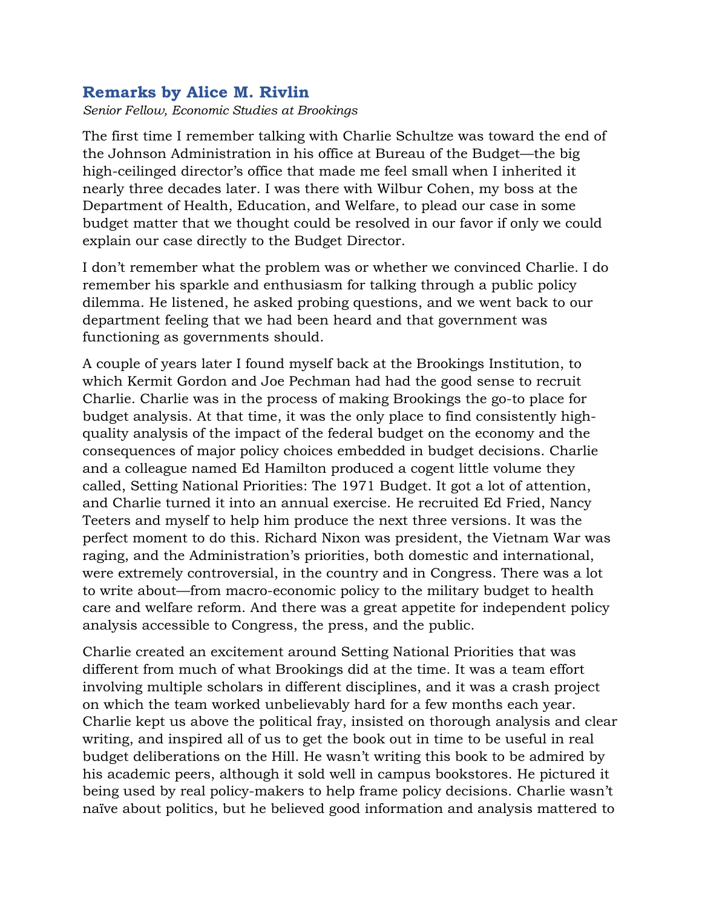#### **Remarks by Alice M. Rivlin**

*Senior Fellow, Economic Studies at Brookings*

The first time I remember talking with Charlie Schultze was toward the end of the Johnson Administration in his office at Bureau of the Budget—the big high-ceilinged director's office that made me feel small when I inherited it nearly three decades later. I was there with Wilbur Cohen, my boss at the Department of Health, Education, and Welfare, to plead our case in some budget matter that we thought could be resolved in our favor if only we could explain our case directly to the Budget Director.

I don't remember what the problem was or whether we convinced Charlie. I do remember his sparkle and enthusiasm for talking through a public policy dilemma. He listened, he asked probing questions, and we went back to our department feeling that we had been heard and that government was functioning as governments should.

A couple of years later I found myself back at the Brookings Institution, to which Kermit Gordon and Joe Pechman had had the good sense to recruit Charlie. Charlie was in the process of making Brookings the go-to place for budget analysis. At that time, it was the only place to find consistently highquality analysis of the impact of the federal budget on the economy and the consequences of major policy choices embedded in budget decisions. Charlie and a colleague named Ed Hamilton produced a cogent little volume they called, Setting National Priorities: The 1971 Budget. It got a lot of attention, and Charlie turned it into an annual exercise. He recruited Ed Fried, Nancy Teeters and myself to help him produce the next three versions. It was the perfect moment to do this. Richard Nixon was president, the Vietnam War was raging, and the Administration's priorities, both domestic and international, were extremely controversial, in the country and in Congress. There was a lot to write about—from macro-economic policy to the military budget to health care and welfare reform. And there was a great appetite for independent policy analysis accessible to Congress, the press, and the public.

Charlie created an excitement around Setting National Priorities that was different from much of what Brookings did at the time. It was a team effort involving multiple scholars in different disciplines, and it was a crash project on which the team worked unbelievably hard for a few months each year. Charlie kept us above the political fray, insisted on thorough analysis and clear writing, and inspired all of us to get the book out in time to be useful in real budget deliberations on the Hill. He wasn't writing this book to be admired by his academic peers, although it sold well in campus bookstores. He pictured it being used by real policy-makers to help frame policy decisions. Charlie wasn't naïve about politics, but he believed good information and analysis mattered to